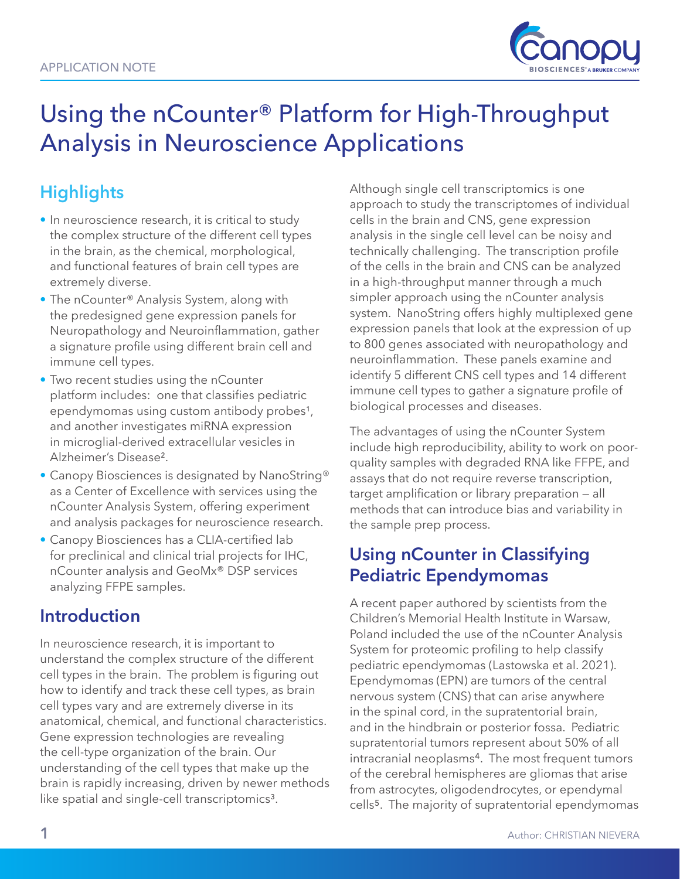

# Using the nCounter® Platform for High-Throughput Analysis in Neuroscience Applications

## **Highlights**

- In neuroscience research, it is critical to study the complex structure of the different cell types in the brain, as the chemical, morphological, and functional features of brain cell types are extremely diverse.
- The nCounter® Analysis System, along with the predesigned gene expression panels for Neuropathology and Neuroinflammation, gather a signature profile using different brain cell and immune cell types.
- Two recent studies using the nCounter platform includes: one that classifies pediatric ependymomas using custom antibody probes<sup>1</sup>, and another investigates miRNA expression in microglial-derived extracellular vesicles in Alzheimer's Disease².
- Canopy Biosciences is designated by NanoString® as a Center of Excellence with services using the nCounter Analysis System, offering experiment and analysis packages for neuroscience research.
- Canopy Biosciences has a CLIA-certified lab for preclinical and clinical trial projects for IHC, nCounter analysis and GeoMx® DSP services analyzing FFPE samples.

### **Introduction**

In neuroscience research, it is important to understand the complex structure of the different cell types in the brain. The problem is figuring out how to identify and track these cell types, as brain cell types vary and are extremely diverse in its anatomical, chemical, and functional characteristics. Gene expression technologies are revealing the cell-type organization of the brain. Our understanding of the cell types that make up the brain is rapidly increasing, driven by newer methods like spatial and single-cell transcriptomics<sup>3</sup>.

Although single cell transcriptomics is one approach to study the transcriptomes of individual cells in the brain and CNS, gene expression analysis in the single cell level can be noisy and technically challenging. The transcription profile of the cells in the brain and CNS can be analyzed in a high-throughput manner through a much simpler approach using the nCounter analysis system. NanoString offers highly multiplexed gene expression panels that look at the expression of up to 800 genes associated with neuropathology and neuroinflammation. These panels examine and identify 5 different CNS cell types and 14 different immune cell types to gather a signature profile of biological processes and diseases.

The advantages of using the nCounter System include high reproducibility, ability to work on poorquality samples with degraded RNA like FFPE, and assays that do not require reverse transcription, target amplification or library preparation — all methods that can introduce bias and variability in the sample prep process.

## **Using nCounter in Classifying Pediatric Ependymomas**

A recent paper authored by scientists from the Children's Memorial Health Institute in Warsaw, Poland included the use of the nCounter Analysis System for proteomic profiling to help classify pediatric ependymomas (Lastowska et al. 2021). Ependymomas (EPN) are tumors of the central nervous system (CNS) that can arise anywhere in the spinal cord, in the supratentorial brain, and in the hindbrain or posterior fossa. Pediatric supratentorial tumors represent about 50% of all intracranial neoplasms4. The most frequent tumors of the cerebral hemispheres are gliomas that arise from astrocytes, oligodendrocytes, or ependymal cells5. The majority of supratentorial ependymomas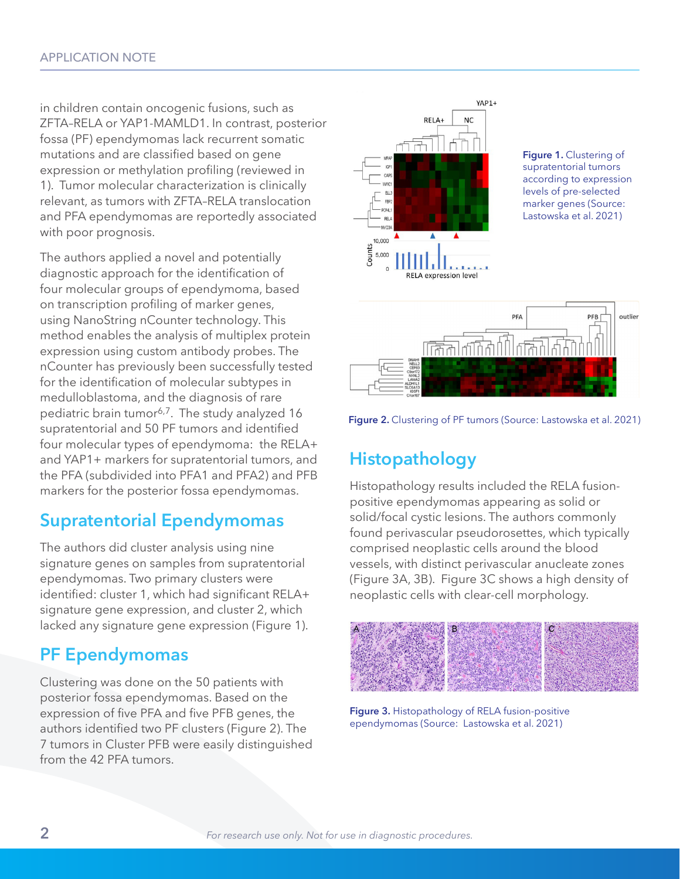in children contain oncogenic fusions, such as ZFTA–RELA or YAP1-MAMLD1. In contrast, posterior fossa (PF) ependymomas lack recurrent somatic mutations and are classified based on gene expression or methylation profiling (reviewed in 1). Tumor molecular characterization is clinically relevant, as tumors with ZFTA–RELA translocation and PFA ependymomas are reportedly associated with poor prognosis.

The authors applied a novel and potentially diagnostic approach for the identification of four molecular groups of ependymoma, based on transcription profiling of marker genes, using NanoString nCounter technology. This method enables the analysis of multiplex protein expression using custom antibody probes. The nCounter has previously been successfully tested for the identification of molecular subtypes in medulloblastoma, and the diagnosis of rare pediatric brain tumor<sup>6,7</sup>. The study analyzed 16 supratentorial and 50 PF tumors and identified four molecular types of ependymoma: the RELA+ and YAP1+ markers for supratentorial tumors, and the PFA (subdivided into PFA1 and PFA2) and PFB markers for the posterior fossa ependymomas.

#### **Supratentorial Ependymomas**

The authors did cluster analysis using nine signature genes on samples from supratentorial ependymomas. Two primary clusters were identified: cluster 1, which had significant RELA+ signature gene expression, and cluster 2, which lacked any signature gene expression (Figure 1).

#### **PF Ependymomas**

Clustering was done on the 50 patients with posterior fossa ependymomas. Based on the expression of five PFA and five PFB genes, the authors identified two PF clusters (Figure 2). The 7 tumors in Cluster PFB were easily distinguished from the 42 PFA tumors.



**Figure 1.** Clustering of supratentorial tumors according to expression levels of pre-selected marker genes (Source: Lastowska et al. 2021)



Figure 2. Clustering of PF tumors (Source: Lastowska et al. 2021)

## **Histopathology**

Histopathology results included the RELA fusionpositive ependymomas appearing as solid or solid/focal cystic lesions. The authors commonly found perivascular pseudorosettes, which typically comprised neoplastic cells around the blood vessels, with distinct perivascular anucleate zones (Figure 3A, 3B). Figure 3C shows a high density of neoplastic cells with clear-cell morphology.



**Figure 3.** Histopathology of RELA fusion-positive ependymomas (Source: Lastowska et al. 2021)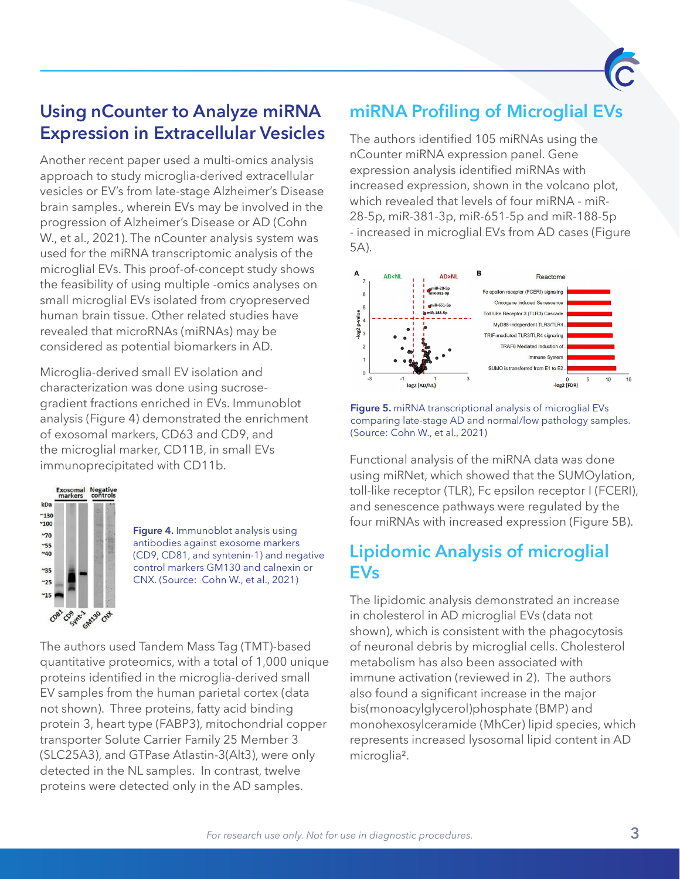

## **Using nCounter to Analyze miRNA Expression in Extracellular Vesicles**

Another recent paper used a multi-omics analysis approach to study microglia-derived extracellular vesicles or EV's from late-stage Alzheimer's Disease brain samples., wherein EVs may be involved in the progression of Alzheimer's Disease or AD (Cohn W., et al., 2021). The nCounter analysis system was used for the miRNA transcriptomic analysis of the microglial EVs. This proof-of-concept study shows the feasibility of using multiple -omics analyses on small microglial EVs isolated from cryopreserved human brain tissue. Other related studies have revealed that microRNAs (miRNAs) may be considered as potential biomarkers in AD.

Microglia-derived small EV isolation and characterization was done using sucrosegradient fractions enriched in EVs. Immunoblot analysis (Figure 4) demonstrated the enrichment of exosomal markers, CD63 and CD9, and the microglial marker, CD11B, in small EVs immunoprecipitated with CD11b.



**Figure 4.** Immunoblot analysis using antibodies against exosome markers (CD9, CD81, and syntenin-1) and negative control markers GM130 and calnexin or CNX. (Source: Cohn W., et al., 2021)

The authors used Tandem Mass Tag (TMT)-based quantitative proteomics, with a total of 1,000 unique proteins identified in the microglia-derived small EV samples from the human parietal cortex (data not shown). Three proteins, fatty acid binding protein 3, heart type (FABP3), mitochondrial copper transporter Solute Carrier Family 25 Member 3 (SLC25A3), and GTPase Atlastin-3(Alt3), were only detected in the NL samples. In contrast, twelve proteins were detected only in the AD samples.

## **miRNA Profiling of Microglial EVs**

The authors identified 105 miRNAs using the nCounter miRNA expression panel. Gene expression analysis identified miRNAs with increased expression, shown in the volcano plot, which revealed that levels of four miRNA - miR-28-5p, miR-381-3p, miR-651-5p and miR-188-5p - increased in microglial EVs from AD cases (Figure 5A).



**Figure 5.** miRNA transcriptional analysis of microglial EVs comparing late-stage AD and normal/low pathology samples. (Source: Cohn W., et al., 2021)

Functional analysis of the miRNA data was done using miRNet, which showed that the SUMOylation, toll-like receptor (TLR), Fc epsilon receptor I (FCERI), and senescence pathways were regulated by the four miRNAs with increased expression (Figure 5B).

## **Lipidomic Analysis of microglial EVs**

The lipidomic analysis demonstrated an increase in cholesterol in AD microglial EVs (data not shown), which is consistent with the phagocytosis of neuronal debris by microglial cells. Cholesterol metabolism has also been associated with immune activation (reviewed in 2). The authors also found a significant increase in the major bis(monoacylglycerol)phosphate (BMP) and monohexosylceramide (MhCer) lipid species, which represents increased lysosomal lipid content in AD microglia².